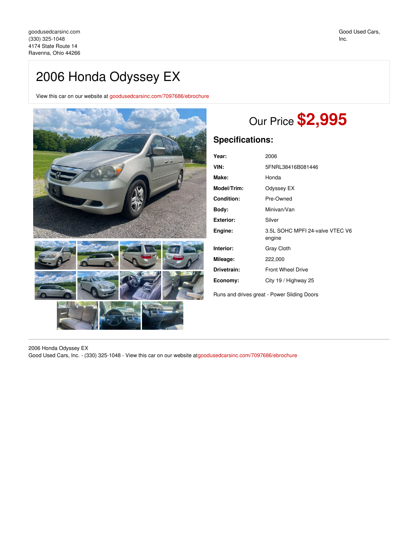## 2006 Honda Odyssey EX

View this car on our website at [goodusedcarsinc.com/7097686/ebrochure](https://goodusedcarsinc.com/vehicle/7097686/2006-honda-odyssey-ex-ravenna-ohio-44266/7097686/ebrochure)



# Our Price **\$2,995**

### **Specifications:**

| Year:             | 2006                                      |
|-------------------|-------------------------------------------|
| VIN:              | 5FNRL38416B081446                         |
| Make:             | Honda                                     |
| Model/Trim:       | Odyssey EX                                |
| <b>Condition:</b> | Pre-Owned                                 |
| Body:             | Minivan/Van                               |
| Exterior:         | Silver                                    |
| Engine:           | 3.5L SOHC MPFI 24-valve VTEC V6<br>engine |
| Interior:         | <b>Gray Cloth</b>                         |
| Mileage:          | 222,000                                   |
| Drivetrain:       | <b>Front Wheel Drive</b>                  |
| Economy:          | City 19 / Highway 25                      |
|                   |                                           |

Runs and drives great - Power Sliding Doors

2006 Honda Odyssey EX Good Used Cars, Inc. - (330) 325-1048 - View this car on our website at[goodusedcarsinc.com/7097686/ebrochure](https://goodusedcarsinc.com/vehicle/7097686/2006-honda-odyssey-ex-ravenna-ohio-44266/7097686/ebrochure)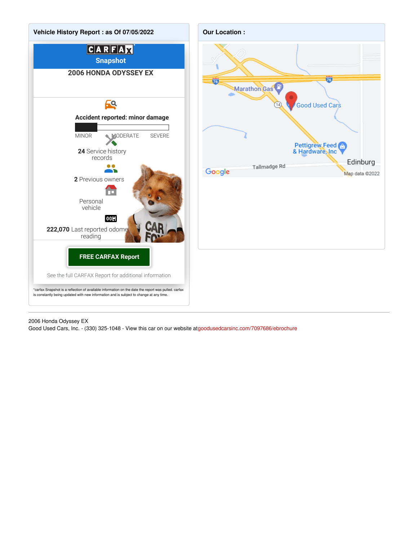

#### 2006 Honda Odyssey EX

Good Used Cars, Inc. - (330) 325-1048 - View this car on our website at[goodusedcarsinc.com/7097686/ebrochure](https://goodusedcarsinc.com/vehicle/7097686/2006-honda-odyssey-ex-ravenna-ohio-44266/7097686/ebrochure)